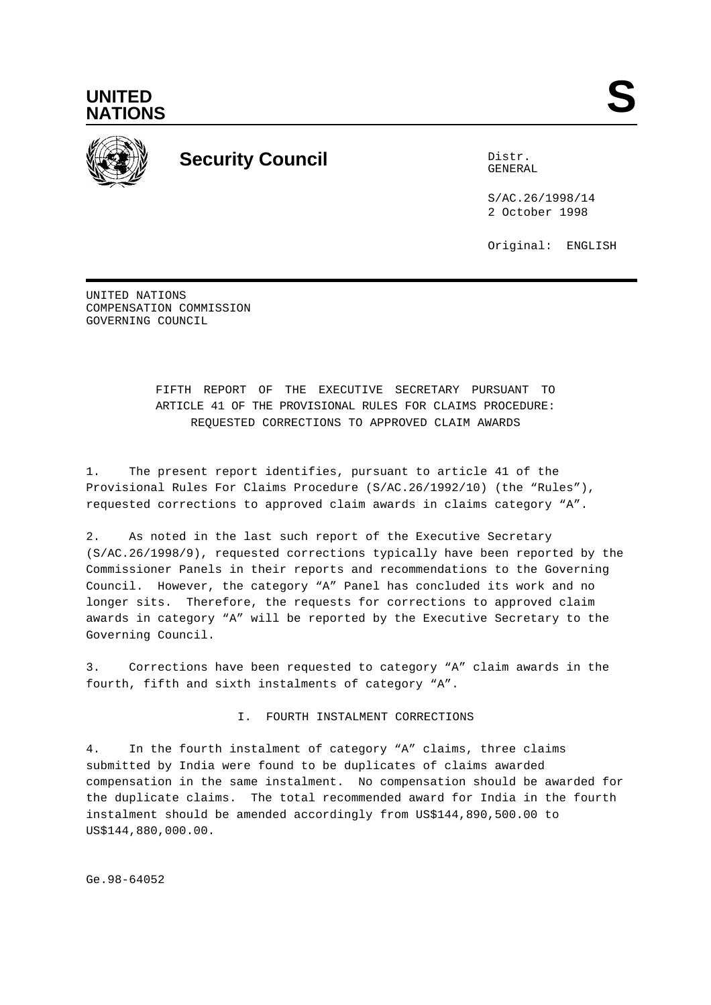



## **Security Council** Distribution of Distribution of Distribution of Distribution of Distribution of Distribution of Distribution of Distribution of Distribution of Distribution of Distribution of Distribution of Distributio

GENERAL

S/AC.26/1998/14 2 October 1998

Original: ENGLISH

UNITED NATIONS COMPENSATION COMMISSION GOVERNING COUNCIL

## FIFTH REPORT OF THE EXECUTIVE SECRETARY PURSUANT TO ARTICLE 41 OF THE PROVISIONAL RULES FOR CLAIMS PROCEDURE: REQUESTED CORRECTIONS TO APPROVED CLAIM AWARDS

1. The present report identifies, pursuant to article 41 of the Provisional Rules For Claims Procedure (S/AC.26/1992/10) (the "Rules"), requested corrections to approved claim awards in claims category "A".

2. As noted in the last such report of the Executive Secretary (S/AC.26/1998/9), requested corrections typically have been reported by the Commissioner Panels in their reports and recommendations to the Governing Council. However, the category "A" Panel has concluded its work and no longer sits. Therefore, the requests for corrections to approved claim awards in category "A" will be reported by the Executive Secretary to the Governing Council.

3. Corrections have been requested to category "A" claim awards in the fourth, fifth and sixth instalments of category "A".

I. FOURTH INSTALMENT CORRECTIONS

4. In the fourth instalment of category "A" claims, three claims submitted by India were found to be duplicates of claims awarded compensation in the same instalment. No compensation should be awarded for the duplicate claims. The total recommended award for India in the fourth instalment should be amended accordingly from US\$144,890,500.00 to US\$144,880,000.00.

Ge.98-64052